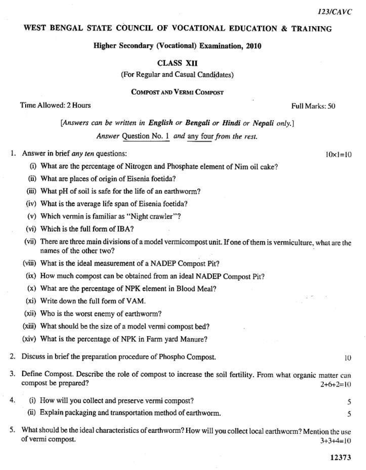$10 \times 1 = 10$ 

## WEST BENGAL STATE COUNCIL OF VOCATIONAL EDUCATION & TRAINING

Higher Secondary (Vocational) Examination, 2010

**CLASS XII** 

(For Regular and Casual Candidates)

**COMPOST AND VERMI COMPOST** 

Time Allowed: 2 Hours

Full Marks: 50

[Answers can be written in English or Bengali or Hindi or Nepali only.]

Answer Question No. 1 and any four from the rest.

1. Answer in brief any ten questions:

- (i) What are the percentage of Nitrogen and Phosphate element of Nim oil cake?
- (ii) What are places of origin of Eisenia foetida?
- (iii) What pH of soil is safe for the life of an earthworm?
- (iv) What is the average life span of Eisenia foetida?
- (v) Which vermin is familiar as "Night crawler"?
- (vi) Which is the full form of IBA?
- (vii) There are three main divisions of a model vermicompost unit. If one of them is vermiculture, what are the names of the other two?
- (viii) What is the ideal measurement of a NADEP Compost Pit?
- (ix) How much compost can be obtained from an ideal NADEP Compost Pit?
- (x) What are the percentage of NPK element in Blood Meal?
- (xi) Write down the full form of VAM.
- (xii) Who is the worst enemy of earthworm?
- (xiii) What should be the size of a model vermi compost bed?
- (xiv) What is the percentage of NPK in Farm yard Manure?
- 2. Discuss in brief the preparation procedure of Phospho Compost.
- 3. Define Compost. Describe the role of compost to increase the soil fertility. From what organic matter can compost be prepared?  $2+6+2=10$
- 4. (i) How will you collect and preserve vermi compost? 5
	- (ii) Explain packaging and transportation method of earthworm.
- 5. What should be the ideal characteristics of earthworm? How will you collect local earthworm? Mention the use of vermi compost.  $3+3+4=10$

 $1()$ 

5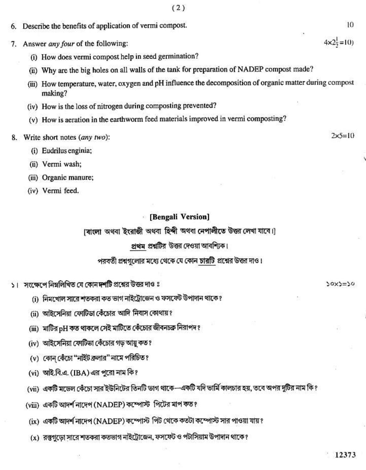| Describe the benefits of application of vermi compost.                                                                 | 10                                 |
|------------------------------------------------------------------------------------------------------------------------|------------------------------------|
| Answer any four of the following:                                                                                      | 25<br>$4 \times 2\frac{1}{2} = 10$ |
| (i) How does vermi compost help in seed germination?                                                                   |                                    |
| (ii) Why are the big holes on all walls of the tank for preparation of NADEP compost made?                             |                                    |
| How temperature, water, oxygen and pH influence the decomposition of organic matter during compost<br>(111)<br>making? |                                    |

 $(2)$ 

- (iv) How is the loss of nitrogen during composting prevented?
- (v) How is aeration in the earthworm feed materials improved in vermi composting?
- 8. Write short notes (any two):
	- (i) Eudrilus enginia;
	- (ii) Vermi wash;

6.

7. Answ

- (iii) Organic manure;
- (iv) Vermi feed.

## **[Bengali Version]**

(বাংলা অথবা ইংরাজী অথবা হিন্দী অথবা নেপালীতে উত্তর লেখা যাবে।)

## প্রথম প্রশ্নটির উত্তর দেওয়া আবশ্যিক।

## পরবর্তী প্রশ্নগুলোর মধ্যে থেকে যে কোন চারটি প্রশ্নের উত্তর দাও।

- ১। সংক্ষেপে নিম্নলিখিত যে কোন দশটি প্রশ্নের উত্তর দাও ঃ
	- (i) নিমখোল সারে শতকরা কত ভাগ নাইট্রোজেন ও ফসফেট উপাদান থাকে ?
	- (ii) আইসেনিয়া ফোটিডা কেঁচোর আদি নিবাস কোথায়?
	- (iii) মাটির pH কত থাকলে সেই মাটিতে কেঁচোর জীবনচক্র নিরাপদ ?
	- (iv) আইসেনিয়া ফোটিভা কেঁচোর গড় আয়ু কত ?
	- (v) কোন কেঁচো "নাইট ক্রলার" নামে পরিচিত ?
	- (vi) আই.বি.এ. (IBA) এর পুরো নাম কি?
	- (vii) একটি মডেল কেঁচো সার ইউনিটের তিনটি ভাগ থাকে—একটি যদি ভার্মি কালচার হয়, তবে অপর দুটির নাম কি ?
	- (viii) একটি আদর্শ নাদেপ (NADEP) কম্পোস্ট পিটের মাপ কত?
	- (ix) একটি আদর্শ নাদেপ (NADEP) কম্পোস্ট পিট থেকে কতটা কম্পোস্ট সার পাওয়া যায় ?
	- (x) রস্তুগূড়ো সারে শতকরা কতভাগ নাইট্রোজেন, ফসফেট ও পটাসিয়াম উপাদান থাকে ?

 $2x5=10$ 

 $30x3=50$